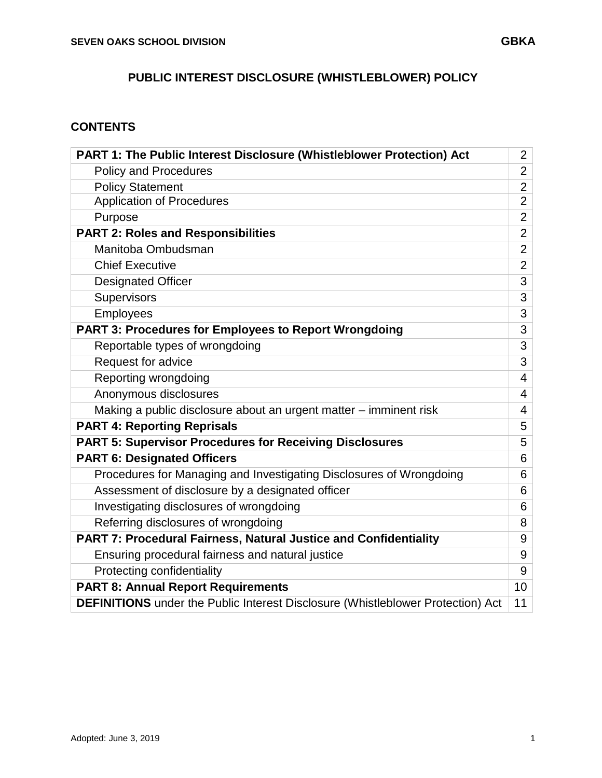# **CONTENTS**

| PART 1: The Public Interest Disclosure (Whistleblower Protection) Act                  | $\overline{2}$  |
|----------------------------------------------------------------------------------------|-----------------|
| <b>Policy and Procedures</b>                                                           | $\overline{2}$  |
| <b>Policy Statement</b>                                                                | $\overline{2}$  |
| <b>Application of Procedures</b>                                                       | $\overline{2}$  |
| Purpose                                                                                | $\overline{2}$  |
| <b>PART 2: Roles and Responsibilities</b>                                              | $\overline{2}$  |
| Manitoba Ombudsman                                                                     | $\overline{2}$  |
| <b>Chief Executive</b>                                                                 | $\overline{2}$  |
| <b>Designated Officer</b>                                                              | 3               |
| Supervisors                                                                            | 3               |
| <b>Employees</b>                                                                       | 3               |
| <b>PART 3: Procedures for Employees to Report Wrongdoing</b>                           | 3               |
| Reportable types of wrongdoing                                                         | 3               |
| Request for advice                                                                     | 3               |
| Reporting wrongdoing                                                                   | 4               |
| Anonymous disclosures                                                                  | 4               |
| Making a public disclosure about an urgent matter – imminent risk                      | 4               |
| <b>PART 4: Reporting Reprisals</b>                                                     | 5               |
| <b>PART 5: Supervisor Procedures for Receiving Disclosures</b>                         | 5               |
| <b>PART 6: Designated Officers</b>                                                     | 6               |
| Procedures for Managing and Investigating Disclosures of Wrongdoing                    | 6               |
| Assessment of disclosure by a designated officer                                       | 6               |
| Investigating disclosures of wrongdoing                                                | 6               |
| Referring disclosures of wrongdoing                                                    | 8               |
| <b>PART 7: Procedural Fairness, Natural Justice and Confidentiality</b>                | 9               |
| Ensuring procedural fairness and natural justice                                       | 9               |
| Protecting confidentiality                                                             | 9               |
| <b>PART 8: Annual Report Requirements</b>                                              | 10 <sup>°</sup> |
| <b>DEFINITIONS</b> under the Public Interest Disclosure (Whistleblower Protection) Act | 11              |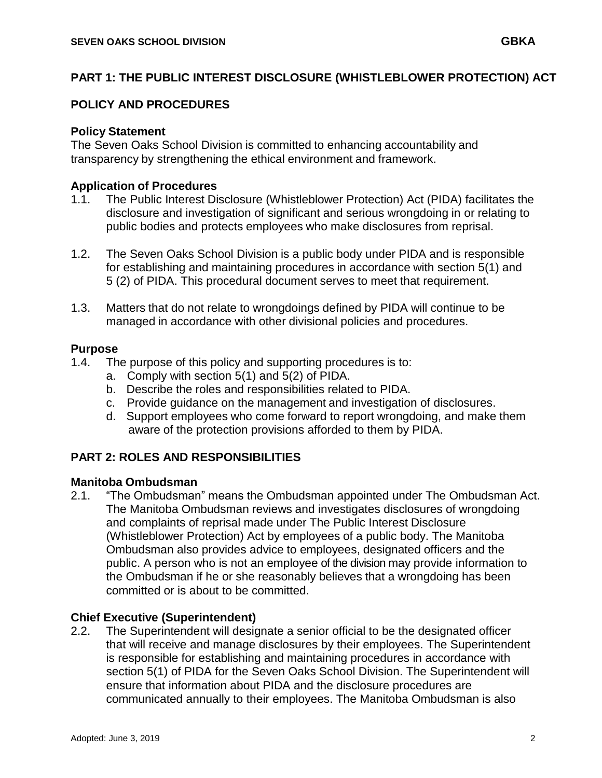## **PART 1: THE PUBLIC INTEREST DISCLOSURE (WHISTLEBLOWER PROTECTION) ACT**

## **POLICY AND PROCEDURES**

### **Policy Statement**

The Seven Oaks School Division is committed to enhancing accountability and transparency by strengthening the ethical environment and framework.

## **Application of Procedures**

- 1.1. The Public Interest Disclosure (Whistleblower Protection) Act (PIDA) facilitates the disclosure and investigation of significant and serious wrongdoing in or relating to public bodies and protects employees who make disclosures from reprisal.
- 1.2. The Seven Oaks School Division is a public body under PIDA and is responsible for establishing and maintaining procedures in accordance with section 5(1) and 5 (2) of PIDA. This procedural document serves to meet that requirement.
- 1.3. Matters that do not relate to wrongdoings defined by PIDA will continue to be managed in accordance with other divisional policies and procedures.

### **Purpose**

- 1.4. The purpose of this policy and supporting procedures is to:
	- a. Comply with section 5(1) and 5(2) of PIDA.
	- b. Describe the roles and responsibilities related to PIDA.
	- c. Provide guidance on the management and investigation of disclosures.
	- d. Support employees who come forward to report wrongdoing, and make them aware of the protection provisions afforded to them by PIDA.

## **PART 2: ROLES AND RESPONSIBILITIES**

### **Manitoba Ombudsman**

2.1. "The Ombudsman" means the Ombudsman appointed under The Ombudsman Act. The Manitoba Ombudsman reviews and investigates disclosures of wrongdoing and complaints of reprisal made under The Public Interest Disclosure (Whistleblower Protection) Act by employees of a public body. The Manitoba Ombudsman also provides advice to employees, designated officers and the public. A person who is not an employee of the division may provide information to the Ombudsman if he or she reasonably believes that a wrongdoing has been committed or is about to be committed.

### **Chief Executive (Superintendent)**

2.2. The Superintendent will designate a senior official to be the designated officer that will receive and manage disclosures by their employees. The Superintendent is responsible for establishing and maintaining procedures in accordance with section 5(1) of PIDA for the Seven Oaks School Division. The Superintendent will ensure that information about PIDA and the disclosure procedures are communicated annually to their employees. The Manitoba Ombudsman is also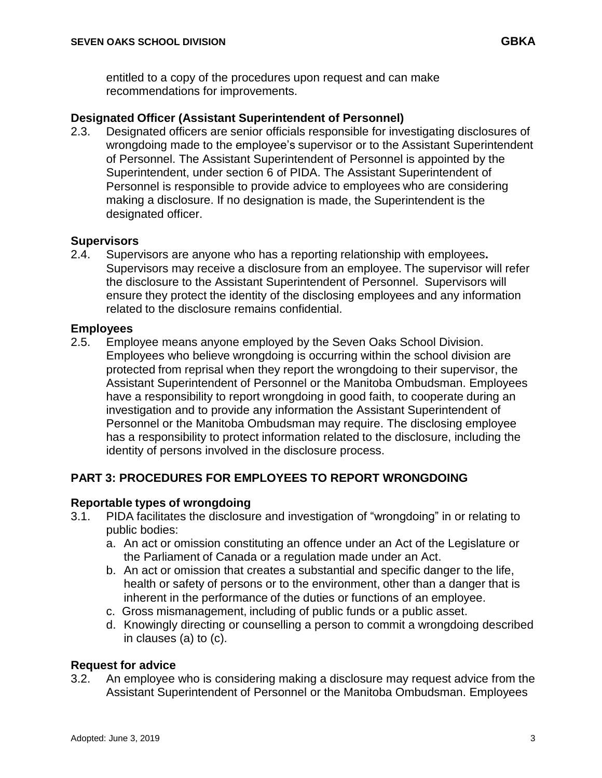entitled to a copy of the procedures upon request and can make recommendations for improvements.

### **Designated Officer (Assistant Superintendent of Personnel)**

2.3. Designated officers are senior officials responsible for investigating disclosures of wrongdoing made to the employee's supervisor or to the Assistant Superintendent of Personnel. The Assistant Superintendent of Personnel is appointed by the Superintendent, under section 6 of PIDA. The Assistant Superintendent of Personnel is responsible to provide advice to employees who are considering making a disclosure. If no designation is made, the Superintendent is the designated officer.

### **Supervisors**

2.4. Supervisors are anyone who has a reporting relationship with employees**.**  Supervisors may receive a disclosure from an employee. The supervisor will refer the disclosure to the Assistant Superintendent of Personnel. Supervisors will ensure they protect the identity of the disclosing employees and any information related to the disclosure remains confidential.

### **Employees**

2.5. Employee means anyone employed by the Seven Oaks School Division. Employees who believe wrongdoing is occurring within the school division are protected from reprisal when they report the wrongdoing to their supervisor, the Assistant Superintendent of Personnel or the Manitoba Ombudsman. Employees have a responsibility to report wrongdoing in good faith, to cooperate during an investigation and to provide any information the Assistant Superintendent of Personnel or the Manitoba Ombudsman may require. The disclosing employee has a responsibility to protect information related to the disclosure, including the identity of persons involved in the disclosure process.

## **PART 3: PROCEDURES FOR EMPLOYEES TO REPORT WRONGDOING**

### **Reportable types of wrongdoing**

- 3.1. PIDA facilitates the disclosure and investigation of "wrongdoing" in or relating to public bodies:
	- a. An act or omission constituting an offence under an Act of the Legislature or the Parliament of Canada or a regulation made under an Act.
	- b. An act or omission that creates a substantial and specific danger to the life, health or safety of persons or to the environment, other than a danger that is inherent in the performance of the duties or functions of an employee.
	- c. Gross mismanagement, including of public funds or a public asset.
	- d. Knowingly directing or counselling a person to commit a wrongdoing described in clauses (a) to (c).

### **Request for advice**

3.2. An employee who is considering making a disclosure may request advice from the Assistant Superintendent of Personnel or the Manitoba Ombudsman. Employees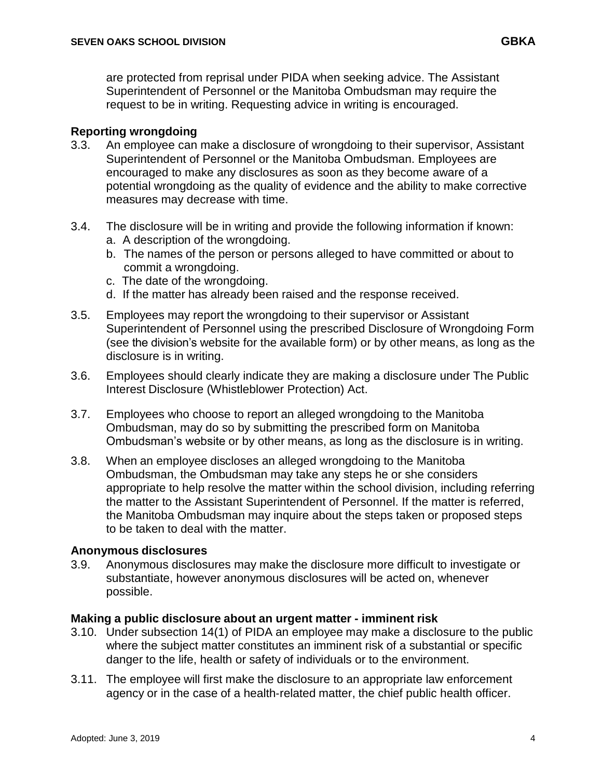are protected from reprisal under PIDA when seeking advice. The Assistant Superintendent of Personnel or the Manitoba Ombudsman may require the request to be in writing. Requesting advice in writing is encouraged.

### **Reporting wrongdoing**

- 3.3. An employee can make a disclosure of wrongdoing to their supervisor, Assistant Superintendent of Personnel or the Manitoba Ombudsman. Employees are encouraged to make any disclosures as soon as they become aware of a potential wrongdoing as the quality of evidence and the ability to make corrective measures may decrease with time.
- 3.4. The disclosure will be in writing and provide the following information if known: a. A description of the wrongdoing.
	- b. The names of the person or persons alleged to have committed or about to commit a wrongdoing.
	- c. The date of the wrongdoing.
	- d. If the matter has already been raised and the response received.
- 3.5. Employees may report the wrongdoing to their supervisor or Assistant Superintendent of Personnel using the prescribed Disclosure of Wrongdoing Form (see the division's website for the available form) or by other means, as long as the disclosure is in writing.
- 3.6. Employees should clearly indicate they are making a disclosure under The Public Interest Disclosure (Whistleblower Protection) Act.
- 3.7. Employees who choose to report an alleged wrongdoing to the Manitoba Ombudsman, may do so by submitting the prescribed form on Manitoba Ombudsman's website or by other means, as long as the disclosure is in writing.
- 3.8. When an employee discloses an alleged wrongdoing to the Manitoba Ombudsman, the Ombudsman may take any steps he or she considers appropriate to help resolve the matter within the school division, including referring the matter to the Assistant Superintendent of Personnel. If the matter is referred, the Manitoba Ombudsman may inquire about the steps taken or proposed steps to be taken to deal with the matter.

### **Anonymous disclosures**

3.9. Anonymous disclosures may make the disclosure more difficult to investigate or substantiate, however anonymous disclosures will be acted on, whenever possible.

### **Making a public disclosure about an urgent matter - imminent risk**

- 3.10. Under subsection 14(1) of PIDA an employee may make a disclosure to the public where the subject matter constitutes an imminent risk of a substantial or specific danger to the life, health or safety of individuals or to the environment.
- 3.11. The employee will first make the disclosure to an appropriate law enforcement agency or in the case of a health‐related matter, the chief public health officer.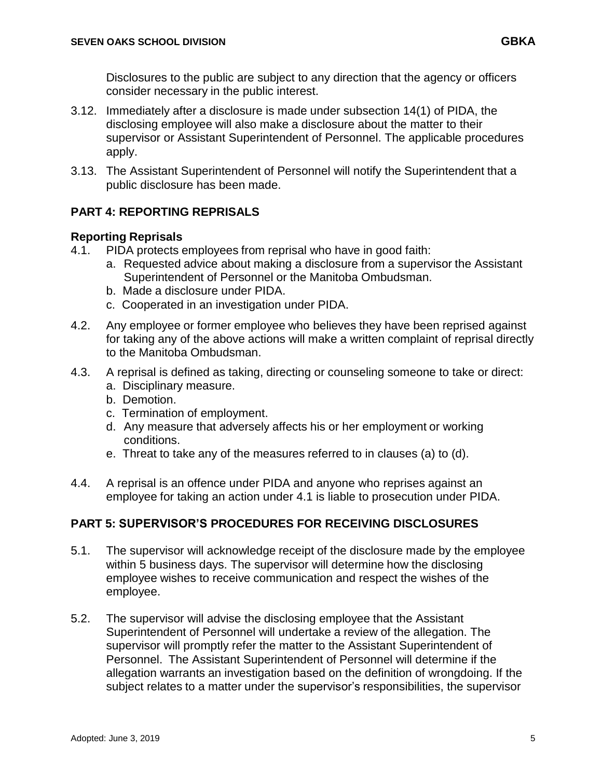Disclosures to the public are subject to any direction that the agency or officers consider necessary in the public interest.

- 3.12. Immediately after a disclosure is made under subsection 14(1) of PIDA, the disclosing employee will also make a disclosure about the matter to their supervisor or Assistant Superintendent of Personnel. The applicable procedures apply.
- 3.13. The Assistant Superintendent of Personnel will notify the Superintendent that a public disclosure has been made.

## **PART 4: REPORTING REPRISALS**

## **Reporting Reprisals**

- 4.1. PIDA protects employees from reprisal who have in good faith:
	- a. Requested advice about making a disclosure from a supervisor the Assistant Superintendent of Personnel or the Manitoba Ombudsman.
	- b. Made a disclosure under PIDA.
	- c. Cooperated in an investigation under PIDA.
- 4.2. Any employee or former employee who believes they have been reprised against for taking any of the above actions will make a written complaint of reprisal directly to the Manitoba Ombudsman.
- 4.3. A reprisal is defined as taking, directing or counseling someone to take or direct:
	- a. Disciplinary measure.
	- b. Demotion.
	- c. Termination of employment.
	- d. Any measure that adversely affects his or her employment or working conditions.
	- e. Threat to take any of the measures referred to in clauses (a) to (d).
- 4.4. A reprisal is an offence under PIDA and anyone who reprises against an employee for taking an action under 4.1 is liable to prosecution under PIDA.

## **PART 5: SUPERVISOR'S PROCEDURES FOR RECEIVING DISCLOSURES**

- 5.1. The supervisor will acknowledge receipt of the disclosure made by the employee within 5 business days. The supervisor will determine how the disclosing employee wishes to receive communication and respect the wishes of the employee.
- 5.2. The supervisor will advise the disclosing employee that the Assistant Superintendent of Personnel will undertake a review of the allegation. The supervisor will promptly refer the matter to the Assistant Superintendent of Personnel. The Assistant Superintendent of Personnel will determine if the allegation warrants an investigation based on the definition of wrongdoing. If the subject relates to a matter under the supervisor's responsibilities, the supervisor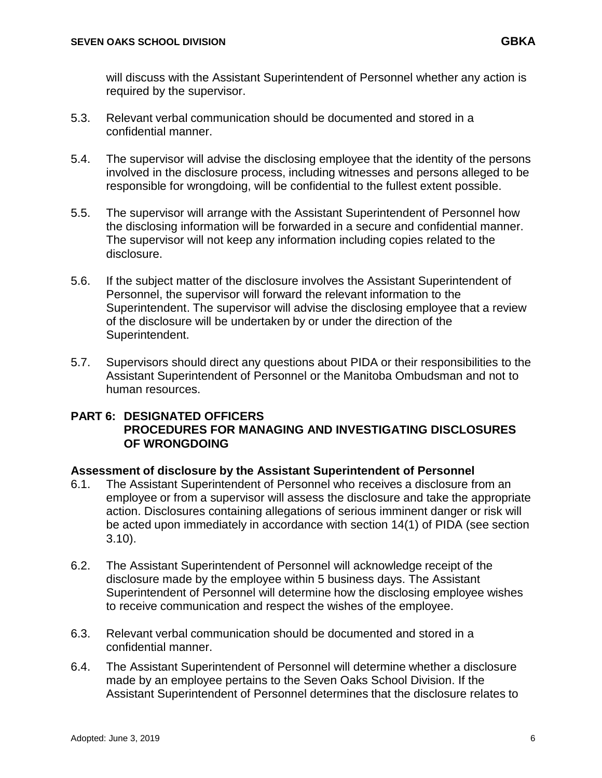will discuss with the Assistant Superintendent of Personnel whether any action is required by the supervisor.

- 5.3. Relevant verbal communication should be documented and stored in a confidential manner.
- 5.4. The supervisor will advise the disclosing employee that the identity of the persons involved in the disclosure process, including witnesses and persons alleged to be responsible for wrongdoing, will be confidential to the fullest extent possible.
- 5.5. The supervisor will arrange with the Assistant Superintendent of Personnel how the disclosing information will be forwarded in a secure and confidential manner. The supervisor will not keep any information including copies related to the disclosure.
- 5.6. If the subject matter of the disclosure involves the Assistant Superintendent of Personnel, the supervisor will forward the relevant information to the Superintendent. The supervisor will advise the disclosing employee that a review of the disclosure will be undertaken by or under the direction of the Superintendent.
- 5.7. Supervisors should direct any questions about PIDA or their responsibilities to the Assistant Superintendent of Personnel or the Manitoba Ombudsman and not to human resources.

## **PART 6: DESIGNATED OFFICERS PROCEDURES FOR MANAGING AND INVESTIGATING DISCLOSURES OF WRONGDOING**

## **Assessment of disclosure by the Assistant Superintendent of Personnel**

- 6.1. The Assistant Superintendent of Personnel who receives a disclosure from an employee or from a supervisor will assess the disclosure and take the appropriate action. Disclosures containing allegations of serious imminent danger or risk will be acted upon immediately in accordance with section 14(1) of PIDA (see section 3.10).
- 6.2. The Assistant Superintendent of Personnel will acknowledge receipt of the disclosure made by the employee within 5 business days. The Assistant Superintendent of Personnel will determine how the disclosing employee wishes to receive communication and respect the wishes of the employee.
- 6.3. Relevant verbal communication should be documented and stored in a confidential manner.
- 6.4. The Assistant Superintendent of Personnel will determine whether a disclosure made by an employee pertains to the Seven Oaks School Division. If the Assistant Superintendent of Personnel determines that the disclosure relates to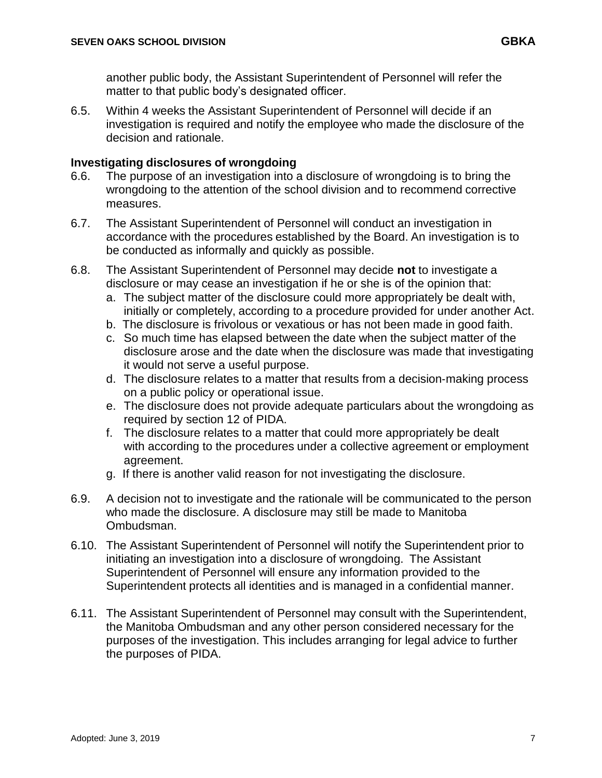another public body, the Assistant Superintendent of Personnel will refer the matter to that public body's designated officer.

6.5. Within 4 weeks the Assistant Superintendent of Personnel will decide if an investigation is required and notify the employee who made the disclosure of the decision and rationale.

## **Investigating disclosures of wrongdoing**

- 6.6. The purpose of an investigation into a disclosure of wrongdoing is to bring the wrongdoing to the attention of the school division and to recommend corrective measures.
- 6.7. The Assistant Superintendent of Personnel will conduct an investigation in accordance with the procedures established by the Board. An investigation is to be conducted as informally and quickly as possible.
- 6.8. The Assistant Superintendent of Personnel may decide **not** to investigate a disclosure or may cease an investigation if he or she is of the opinion that:
	- a. The subject matter of the disclosure could more appropriately be dealt with, initially or completely, according to a procedure provided for under another Act.
	- b. The disclosure is frivolous or vexatious or has not been made in good faith.
	- c. So much time has elapsed between the date when the subject matter of the disclosure arose and the date when the disclosure was made that investigating it would not serve a useful purpose.
	- d. The disclosure relates to a matter that results from a decision‐making process on a public policy or operational issue.
	- e. The disclosure does not provide adequate particulars about the wrongdoing as required by section 12 of PIDA.
	- f. The disclosure relates to a matter that could more appropriately be dealt with according to the procedures under a collective agreement or employment agreement.
	- g. If there is another valid reason for not investigating the disclosure.
- 6.9. A decision not to investigate and the rationale will be communicated to the person who made the disclosure. A disclosure may still be made to Manitoba Ombudsman.
- 6.10. The Assistant Superintendent of Personnel will notify the Superintendent prior to initiating an investigation into a disclosure of wrongdoing. The Assistant Superintendent of Personnel will ensure any information provided to the Superintendent protects all identities and is managed in a confidential manner.
- 6.11. The Assistant Superintendent of Personnel may consult with the Superintendent, the Manitoba Ombudsman and any other person considered necessary for the purposes of the investigation. This includes arranging for legal advice to further the purposes of PIDA.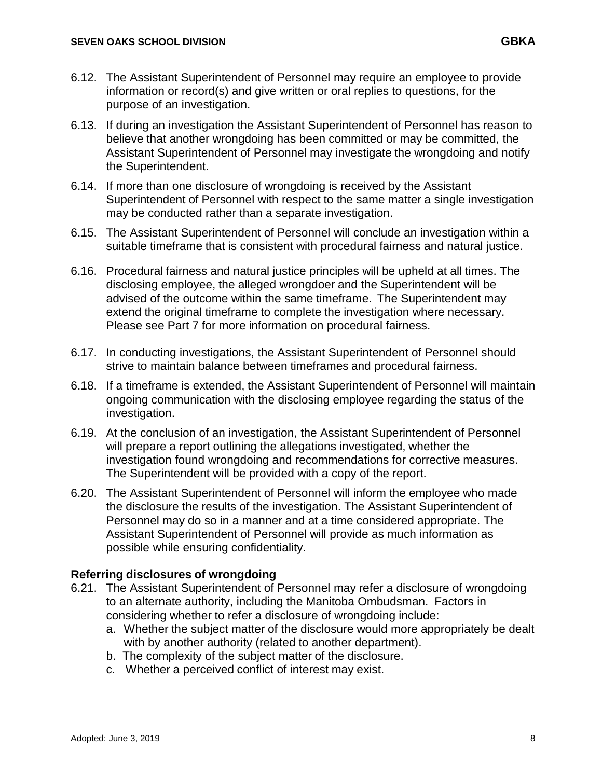- 6.13. If during an investigation the Assistant Superintendent of Personnel has reason to believe that another wrongdoing has been committed or may be committed, the Assistant Superintendent of Personnel may investigate the wrongdoing and notify the Superintendent.
- 6.14. If more than one disclosure of wrongdoing is received by the Assistant Superintendent of Personnel with respect to the same matter a single investigation may be conducted rather than a separate investigation.
- 6.15. The Assistant Superintendent of Personnel will conclude an investigation within a suitable timeframe that is consistent with procedural fairness and natural justice.
- 6.16. Procedural fairness and natural justice principles will be upheld at all times. The disclosing employee, the alleged wrongdoer and the Superintendent will be advised of the outcome within the same timeframe. The Superintendent may extend the original timeframe to complete the investigation where necessary. Please see Part 7 for more information on procedural fairness.
- 6.17. In conducting investigations, the Assistant Superintendent of Personnel should strive to maintain balance between timeframes and procedural fairness.
- 6.18. If a timeframe is extended, the Assistant Superintendent of Personnel will maintain ongoing communication with the disclosing employee regarding the status of the investigation.
- 6.19. At the conclusion of an investigation, the Assistant Superintendent of Personnel will prepare a report outlining the allegations investigated, whether the investigation found wrongdoing and recommendations for corrective measures. The Superintendent will be provided with a copy of the report.
- 6.20. The Assistant Superintendent of Personnel will inform the employee who made the disclosure the results of the investigation. The Assistant Superintendent of Personnel may do so in a manner and at a time considered appropriate. The Assistant Superintendent of Personnel will provide as much information as possible while ensuring confidentiality.

## **Referring disclosures of wrongdoing**

- 6.21. The Assistant Superintendent of Personnel may refer a disclosure of wrongdoing to an alternate authority, including the Manitoba Ombudsman. Factors in considering whether to refer a disclosure of wrongdoing include:
	- a. Whether the subject matter of the disclosure would more appropriately be dealt with by another authority (related to another department).
	- b. The complexity of the subject matter of the disclosure.
	- c. Whether a perceived conflict of interest may exist.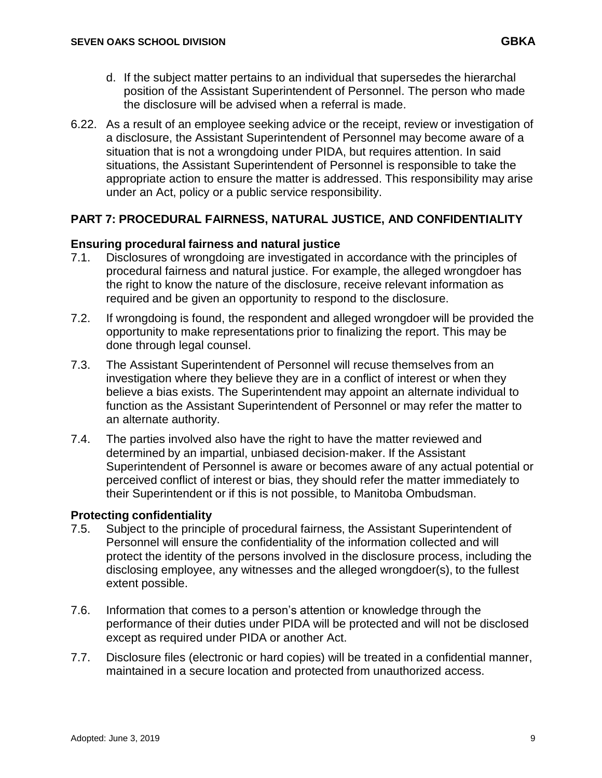- d. If the subject matter pertains to an individual that supersedes the hierarchal position of the Assistant Superintendent of Personnel. The person who made the disclosure will be advised when a referral is made.
- 6.22. As a result of an employee seeking advice or the receipt, review or investigation of a disclosure, the Assistant Superintendent of Personnel may become aware of a situation that is not a wrongdoing under PIDA, but requires attention. In said situations, the Assistant Superintendent of Personnel is responsible to take the appropriate action to ensure the matter is addressed. This responsibility may arise under an Act, policy or a public service responsibility.

## **PART 7: PROCEDURAL FAIRNESS, NATURAL JUSTICE, AND CONFIDENTIALITY**

## **Ensuring procedural fairness and natural justice**

- 7.1. Disclosures of wrongdoing are investigated in accordance with the principles of procedural fairness and natural justice. For example, the alleged wrongdoer has the right to know the nature of the disclosure, receive relevant information as required and be given an opportunity to respond to the disclosure.
- 7.2. If wrongdoing is found, the respondent and alleged wrongdoer will be provided the opportunity to make representations prior to finalizing the report. This may be done through legal counsel.
- 7.3. The Assistant Superintendent of Personnel will recuse themselves from an investigation where they believe they are in a conflict of interest or when they believe a bias exists. The Superintendent may appoint an alternate individual to function as the Assistant Superintendent of Personnel or may refer the matter to an alternate authority.
- 7.4. The parties involved also have the right to have the matter reviewed and determined by an impartial, unbiased decision‐maker. If the Assistant Superintendent of Personnel is aware or becomes aware of any actual potential or perceived conflict of interest or bias, they should refer the matter immediately to their Superintendent or if this is not possible, to Manitoba Ombudsman.

## **Protecting confidentiality**

- 7.5. Subject to the principle of procedural fairness, the Assistant Superintendent of Personnel will ensure the confidentiality of the information collected and will protect the identity of the persons involved in the disclosure process, including the disclosing employee, any witnesses and the alleged wrongdoer(s), to the fullest extent possible.
- 7.6. Information that comes to a person's attention or knowledge through the performance of their duties under PIDA will be protected and will not be disclosed except as required under PIDA or another Act.
- 7.7. Disclosure files (electronic or hard copies) will be treated in a confidential manner, maintained in a secure location and protected from unauthorized access.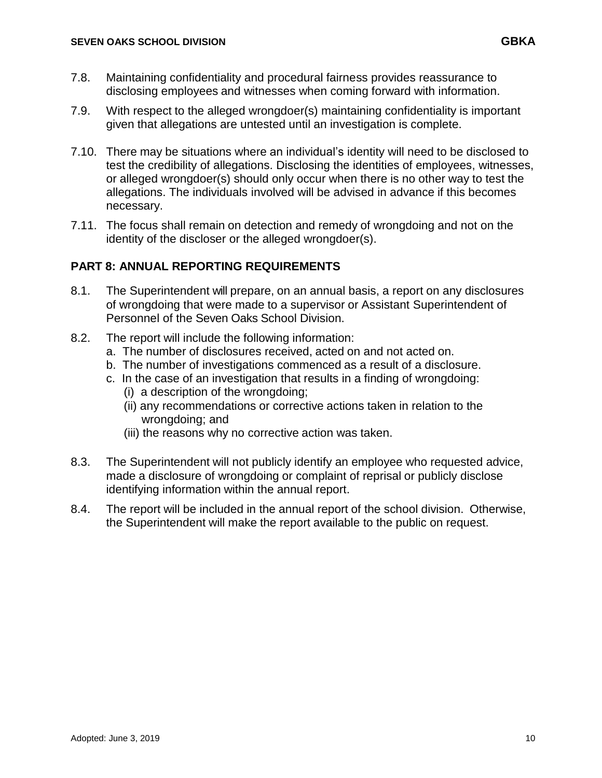- 7.8. Maintaining confidentiality and procedural fairness provides reassurance to disclosing employees and witnesses when coming forward with information.
- 7.9. With respect to the alleged wrongdoer(s) maintaining confidentiality is important given that allegations are untested until an investigation is complete.
- 7.10. There may be situations where an individual's identity will need to be disclosed to test the credibility of allegations. Disclosing the identities of employees, witnesses, or alleged wrongdoer(s) should only occur when there is no other way to test the allegations. The individuals involved will be advised in advance if this becomes necessary.
- 7.11. The focus shall remain on detection and remedy of wrongdoing and not on the identity of the discloser or the alleged wrongdoer(s).

## **PART 8: ANNUAL REPORTING REQUIREMENTS**

- 8.1. The Superintendent will prepare, on an annual basis, a report on any disclosures of wrongdoing that were made to a supervisor or Assistant Superintendent of Personnel of the Seven Oaks School Division.
- 8.2. The report will include the following information:
	- a. The number of disclosures received, acted on and not acted on.
	- b. The number of investigations commenced as a result of a disclosure.
	- c. In the case of an investigation that results in a finding of wrongdoing:
		- (i) a description of the wrongdoing;
		- (ii) any recommendations or corrective actions taken in relation to the wrongdoing; and
		- (iii) the reasons why no corrective action was taken.
- 8.3. The Superintendent will not publicly identify an employee who requested advice, made a disclosure of wrongdoing or complaint of reprisal or publicly disclose identifying information within the annual report.
- 8.4. The report will be included in the annual report of the school division. Otherwise, the Superintendent will make the report available to the public on request.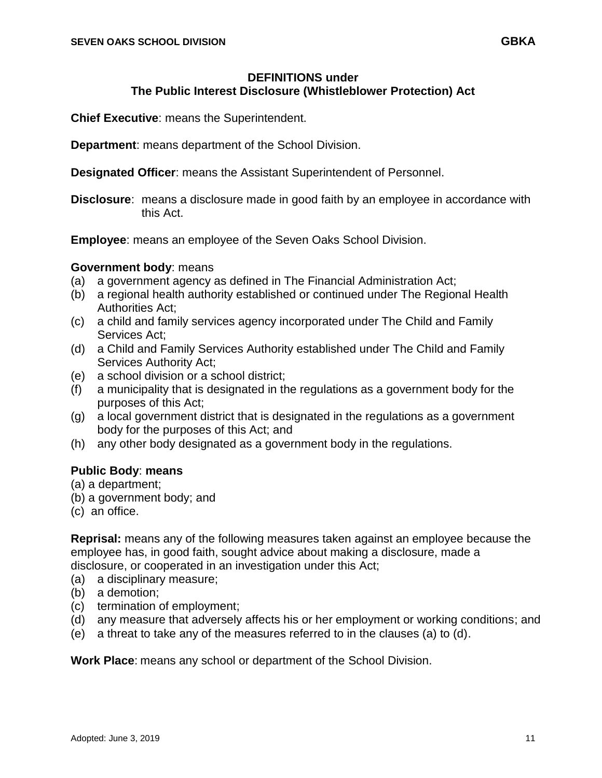### **DEFINITIONS under The Public Interest Disclosure (Whistleblower Protection) Act**

**Chief Executive**: means the Superintendent.

**Department**: means department of the School Division.

**Designated Officer**: means the Assistant Superintendent of Personnel.

**Disclosure:** means a disclosure made in good faith by an employee in accordance with this Act.

**Employee**: means an employee of the Seven Oaks School Division.

### **Government body**: means

- (a) a government agency as defined in The Financial Administration Act;
- (b) a regional health authority established or continued under The Regional Health Authorities Act;
- (c) a child and family services agency incorporated under The Child and Family Services Act;
- (d) a Child and Family Services Authority established under The Child and Family Services Authority Act;
- (e) a school division or a school district;
- (f) a municipality that is designated in the regulations as a government body for the purposes of this Act;
- (g) a local government district that is designated in the regulations as a government body for the purposes of this Act; and
- (h) any other body designated as a government body in the regulations.

## **Public Body**: **means**

- (a) a department;
- (b) a government body; and
- (c) an office.

**Reprisal:** means any of the following measures taken against an employee because the employee has, in good faith, sought advice about making a disclosure, made a disclosure, or cooperated in an investigation under this Act;

- (a) a disciplinary measure;
- (b) a demotion;
- (c) termination of employment;
- (d) any measure that adversely affects his or her employment or working conditions; and
- (e) a threat to take any of the measures referred to in the clauses (a) to (d).

**Work Place**: means any school or department of the School Division.